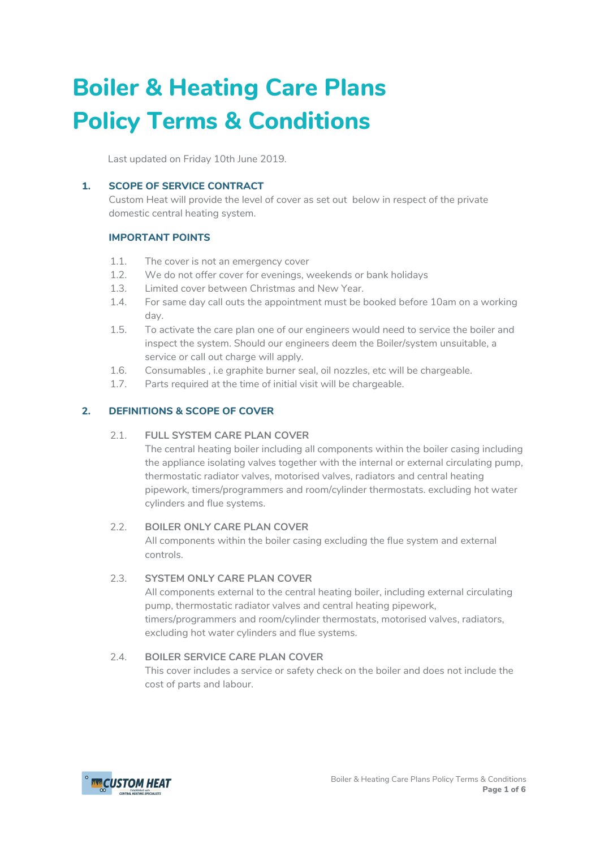# **Boiler & Heating Care Plans Policy Terms & Conditions**

Last updated on Friday 10th June 2019.

## **1. SCOPE OF SERVICE CONTRACT**

Custom Heat will provide the level of cover as set out below in respect of the private domestic central heating system.

## **IMPORTANT POINTS**

- 1.1. The cover is not an emergency cover
- 1.2. We do not offer cover for evenings, weekends or bank holidays
- 1.3. Limited cover between Christmas and New Year.
- 1.4. For same day call outs the appointment must be booked before 10am on a working day.
- 1.5. To activate the care plan one of our engineers would need to service the boiler and inspect the system. Should our engineers deem the Boiler/system unsuitable, a service or call out charge will apply.
- 1.6. Consumables , i.e graphite burner seal, oil nozzles, etc will be chargeable.
- 1.7. Parts required at the time of initial visit will be chargeable.

## **2. DEFINITIONS & SCOPE OF COVER**

### 2.1. **FULL SYSTEM CARE PLAN COVER**

The central heating boiler including all components within the boiler casing including the appliance isolating valves together with the internal or external circulating pump, thermostatic radiator valves, motorised valves, radiators and central heating pipework, timers/programmers and room/cylinder thermostats. excluding hot water cylinders and flue systems.

## 2.2. **BOILER ONLY CARE PLAN COVER**

All components within the boiler casing excluding the flue system and external controls.

## 2.3. **SYSTEM ONLY CARE PLAN COVER**

All components external to the central heating boiler, including external circulating pump, thermostatic radiator valves and central heating pipework, timers/programmers and room/cylinder thermostats, motorised valves, radiators, excluding hot water cylinders and flue systems.

## 2.4. **BOILER SERVICE CARE PLAN COVER**

This cover includes a service or safety check on the boiler and does not include the cost of parts and labour.

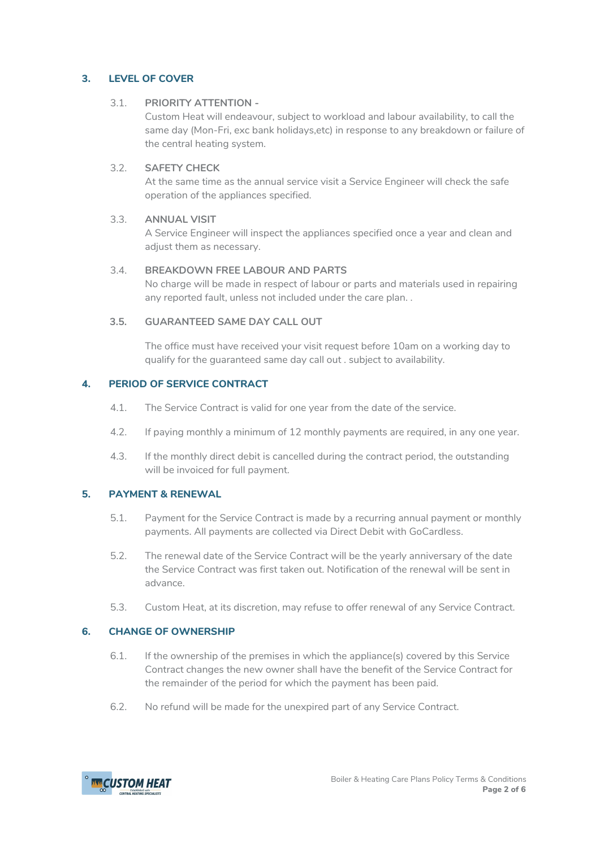## **3. LEVEL OF COVER**

### 3.1. **PRIORITY ATTENTION -**

Custom Heat will endeavour, subject to workload and labour availability, to call the same day (Mon-Fri, exc bank holidays,etc) in response to any breakdown or failure of the central heating system.

## 3.2. **SAFETY CHECK**

At the same time as the annual service visit a Service Engineer will check the safe operation of the appliances specified.

## 3.3. **ANNUAL VISIT**

A Service Engineer will inspect the appliances specified once a year and clean and adjust them as necessary.

## 3.4. **BREAKDOWN FREE LABOUR AND PARTS**

No charge will be made in respect of labour or parts and materials used in repairing any reported fault, unless not included under the care plan..

## **3.5. GUARANTEED SAME DAY CALL OUT**

The office must have received your visit request before 10am on a working day to qualify for the guaranteed same day call out . subject to availability.

## **4. PERIOD OF SERVICE CONTRACT**

- 4.1. The Service Contract is valid for one year from the date of the service.
- 4.2. If paying monthly a minimum of 12 monthly payments are required, in any one year.
- 4.3. If the monthly direct debit is cancelled during the contract period, the outstanding will be invoiced for full payment.

### **5. PAYMENT & RENEWAL**

- 5.1. Payment for the Service Contract is made by a recurring annual payment or monthly payments. All payments are collected via Direct Debit with GoCardless.
- 5.2. The renewal date of the Service Contract will be the yearly anniversary of the date the Service Contract was first taken out. Notification of the renewal will be sent in advance.
- 5.3. Custom Heat, at its discretion, may refuse to offer renewal of any Service Contract.

### **6. CHANGE OF OWNERSHIP**

- 6.1. If the ownership of the premises in which the appliance(s) covered by this Service Contract changes the new owner shall have the benefit of the Service Contract for the remainder of the period for which the payment has been paid.
- 6.2. No refund will be made for the unexpired part of any Service Contract.

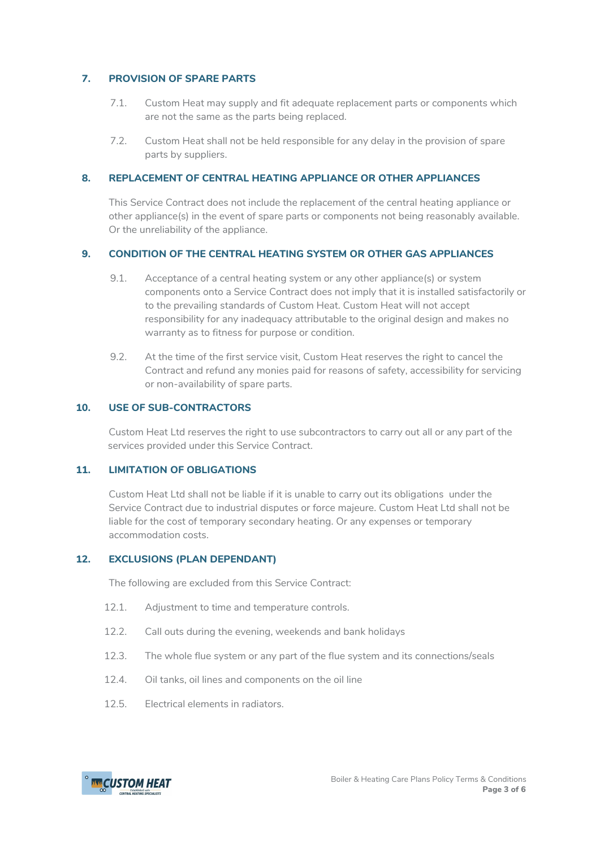#### **7. PROVISION OF SPARE PARTS**

- 7.1. Custom Heat may supply and fit adequate replacement parts or components which are not the same as the parts being replaced.
- 7.2. Custom Heat shall not be held responsible for any delay in the provision of spare parts by suppliers.

#### **8. REPLACEMENT OF CENTRAL HEATING APPLIANCE OR OTHER APPLIANCES**

This Service Contract does not include the replacement of the central heating appliance or other appliance(s) in the event of spare parts or components not being reasonably available. Or the unreliability of the appliance.

#### **9. CONDITION OF THE CENTRAL HEATING SYSTEM OR OTHER GAS APPLIANCES**

- 9.1. Acceptance of a central heating system or any other appliance(s) or system components onto a Service Contract does not imply that it is installed satisfactorily or to the prevailing standards of Custom Heat. Custom Heat will not accept responsibility for any inadequacy attributable to the original design and makes no warranty as to fitness for purpose or condition.
- 9.2. At the time of the first service visit, Custom Heat reserves the right to cancel the Contract and refund any monies paid for reasons of safety, accessibility for servicing or non-availability of spare parts.

#### **10. USE OF SUB-CONTRACTORS**

Custom Heat Ltd reserves the right to use subcontractors to carry out all or any part of the services provided under this Service Contract.

#### **11. LIMITATION OF OBLIGATIONS**

Custom Heat Ltd shall not be liable if it is unable to carry out its obligations under the Service Contract due to industrial disputes or force majeure. Custom Heat Ltd shall not be liable for the cost of temporary secondary heating. Or any expenses or temporary accommodation costs.

#### **12. EXCLUSIONS (PLAN DEPENDANT)**

The following are excluded from this Service Contract:

- 12.1. Adjustment to time and temperature controls.
- 12.2. Call outs during the evening, weekends and bank holidays
- 12.3. The whole flue system or any part of the flue system and its connections/seals
- 12.4. Oil tanks, oil lines and components on the oil line
- 12.5. Electrical elements in radiators.

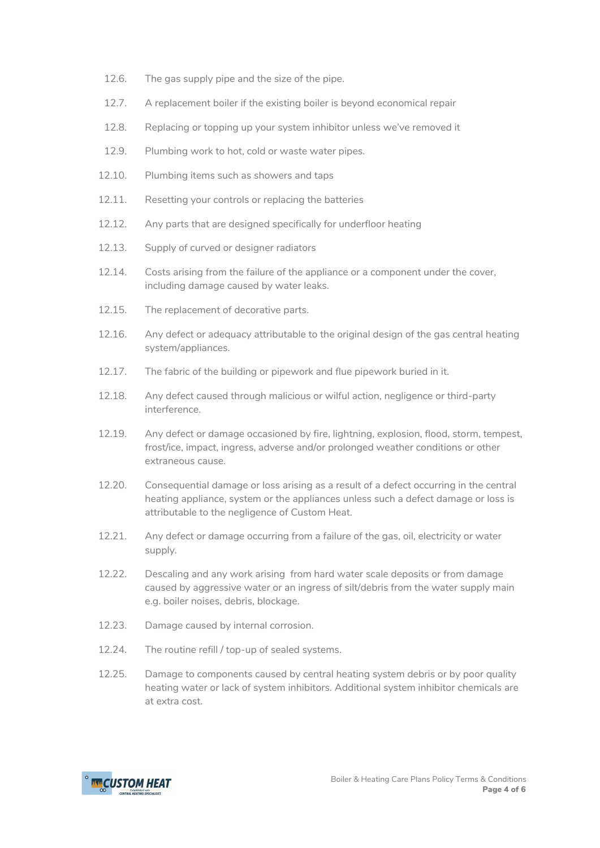- 12.6. The gas supply pipe and the size of the pipe.
- 12.7. A replacement boiler if the existing boiler is beyond economical repair
- 12.8. Replacing or topping up your system inhibitor unless we've removed it
- 12.9. Plumbing work to hot, cold or waste water pipes.
- 12.10. Plumbing items such as showers and taps
- 12.11. Resetting your controls or replacing the batteries
- 12.12. Any parts that are designed specifically for underfloor heating
- 12.13. Supply of curved or designer radiators
- 12.14. Costs arising from the failure of the appliance or a component under the cover, including damage caused by water leaks.
- 12.15. The replacement of decorative parts.
- 12.16. Any defect or adequacy attributable to the original design of the gas central heating system/appliances.
- 12.17. The fabric of the building or pipework and flue pipework buried in it.
- 12.18. Any defect caused through malicious or wilful action, negligence or third-party interference.
- 12.19. Any defect or damage occasioned by fire, lightning, explosion, flood, storm, tempest, frost/ice, impact, ingress, adverse and/or prolonged weather conditions or other extraneous cause.
- 12.20. Consequential damage or loss arising as a result of a defect occurring in the central heating appliance, system or the appliances unless such a defect damage or loss is attributable to the negligence of Custom Heat.
- 12.21. Any defect or damage occurring from a failure of the gas, oil, electricity or water supply.
- 12.22. Descaling and any work arising from hard water scale deposits or from damage caused by aggressive water or an ingress of silt/debris from the water supply main e.g. boiler noises, debris, blockage.
- 12.23. Damage caused by internal corrosion.
- 12.24. The routine refill / top-up of sealed systems.
- 12.25. Damage to components caused by central heating system debris or by poor quality heating water or lack of system inhibitors. Additional system inhibitor chemicals are at extra cost.

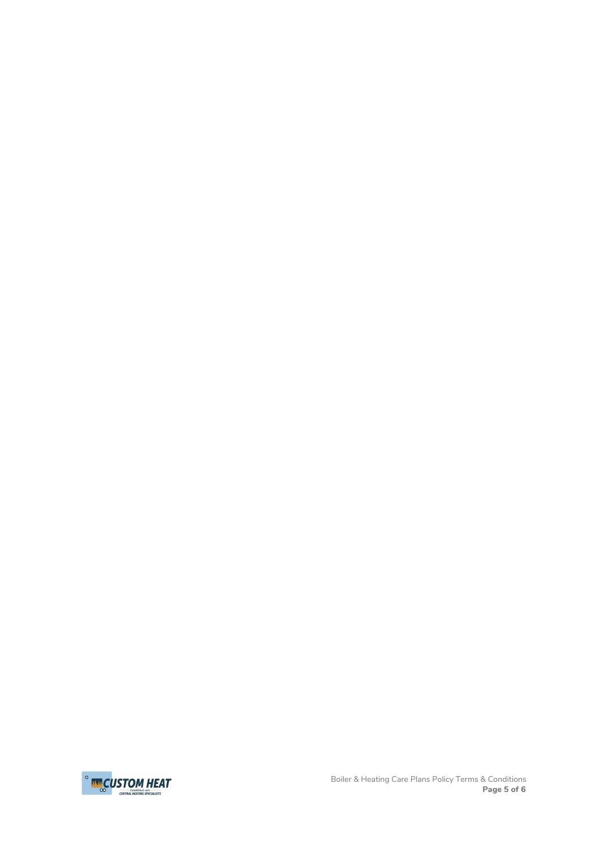